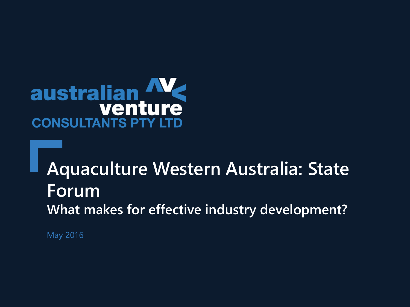# australian **CONSULTANTS PTY LTD**

## **Aquaculture Western Australia: State Forum What makes for effective industry development?**

May 2016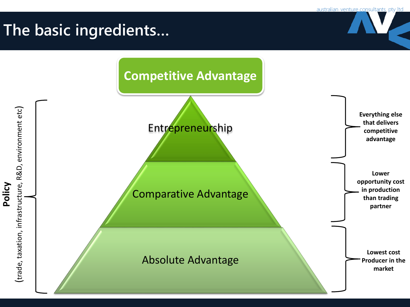## **The basic ingredients…**

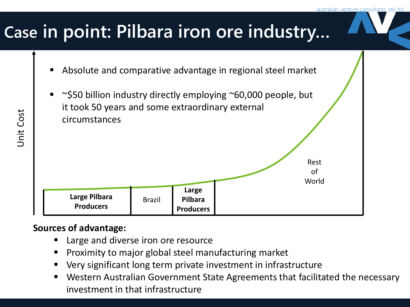Rest of World

## **Case in point: Pilbara iron ore industry…**

- Absolute and comparative advantage in regional steel market
- ~\$50 billion industry directly employing ~60,000 people, but it took 50 years and some extraordinary external circumstances

**Large Pilbara Producers**

#### **Sources of advantage:**

Large and diverse iron ore resource

Brazil

- Proximity to major global steel manufacturing market
- Very significant long term private investment in infrastructure

**Large Pilbara Producers**

 Western Australian Government State Agreements that facilitated the necessary investment in that infrastructure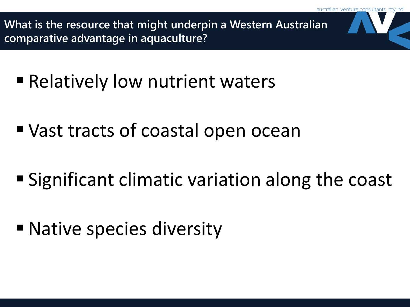**What is the resource that might underpin a Western Australian comparative advantage in aquaculture?**

- Relatively low nutrient waters
- Vast tracts of coastal open ocean
- Significant climatic variation along the coast
- Native species diversity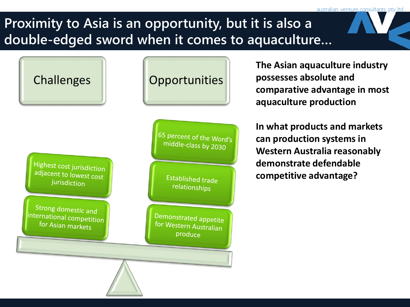### **Proximity to Asia is an opportunity, but it is also a double-edged sword when it comes to aquaculture…**

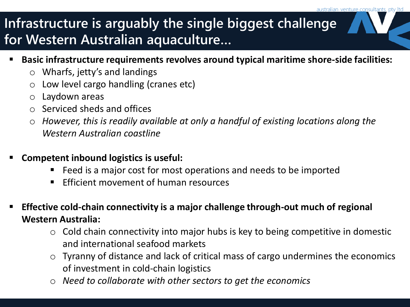### **Infrastructure is arguably the single biggest challenge for Western Australian aquaculture…**

- **Basic infrastructure requirements revolves around typical maritime shore-side facilities:**
	- o Wharfs, jetty's and landings
	- o Low level cargo handling (cranes etc)
	- o Laydown areas
	- o Serviced sheds and offices
	- o *However, this is readily available at only a handful of existing locations along the Western Australian coastline*
- **Competent inbound logistics is useful:**
	- Feed is a major cost for most operations and needs to be imported
	- $\blacksquare$  Efficient movement of human resources
- **Effective cold-chain connectivity is a major challenge through-out much of regional Western Australia:**
	- $\circ$  Cold chain connectivity into major hubs is key to being competitive in domestic and international seafood markets
	- o Tyranny of distance and lack of critical mass of cargo undermines the economics of investment in cold-chain logistics
	- o *Need to collaborate with other sectors to get the economics*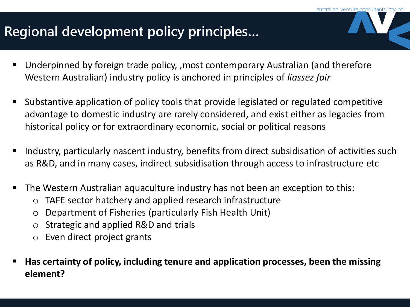## **Regional development policy principles…**

- Underpinned by foreign trade policy, ,most contemporary Australian (and therefore Western Australian) industry policy is anchored in principles of *liassez fair*
- Substantive application of policy tools that provide legislated or regulated competitive advantage to domestic industry are rarely considered, and exist either as legacies from historical policy or for extraordinary economic, social or political reasons
- **IF Industry, particularly nascent industry, benefits from direct subsidisation of activities such** as R&D, and in many cases, indirect subsidisation through access to infrastructure etc
- The Western Australian aquaculture industry has not been an exception to this:
	- o TAFE sector hatchery and applied research infrastructure
	- o Department of Fisheries (particularly Fish Health Unit)
	- o Strategic and applied R&D and trials
	- o Even direct project grants
- **Has certainty of policy, including tenure and application processes, been the missing element?**